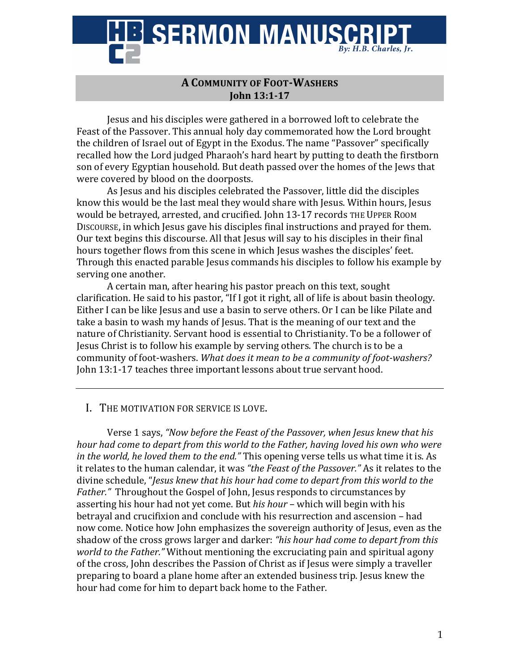

## **A COMMUNITY OF FOOT-WASHERS John 13:1-17**

Jesus and his disciples were gathered in a borrowed loft to celebrate the Feast of the Passover. This annual holy day commemorated how the Lord brought the children of Israel out of Egypt in the Exodus. The name "Passover" specifically recalled how the Lord judged Pharaoh's hard heart by putting to death the firstborn son of every Egyptian household. But death passed over the homes of the Jews that were covered by blood on the doorposts.

As Jesus and his disciples celebrated the Passover, little did the disciples know this would be the last meal they would share with Jesus. Within hours, Jesus would be betrayed, arrested, and crucified. John 13-17 records THE UPPER ROOM DISCOURSE, in which Jesus gave his disciples final instructions and prayed for them. Our text begins this discourse. All that Jesus will say to his disciples in their final hours together flows from this scene in which Jesus washes the disciples' feet. Through this enacted parable Jesus commands his disciples to follow his example by serving one another.

A certain man, after hearing his pastor preach on this text, sought clarification. He said to his pastor, "If I got it right, all of life is about basin theology. Either I can be like Jesus and use a basin to serve others. Or I can be like Pilate and take a basin to wash my hands of Jesus. That is the meaning of our text and the nature of Christianity. Servant hood is essential to Christianity. To be a follower of Jesus Christ is to follow his example by serving others. The church is to be a community of foot-washers. What does it mean to be a community of foot-washers? John 13:1-17 teaches three important lessons about true servant hood.

## I. THE MOTIVATION FOR SERVICE IS LOVE.

Verse 1 says, "Now before the Feast of the Passover, when Jesus knew that his *hour had come to depart from this world to the Father, having loved his own who were in the world, he loved them to the end."* This opening verse tells us what time it is. As it relates to the human calendar, it was "the Feast of the Passover." As it relates to the divine schedule, "*Jesus knew that his hour had come to depart from this world to the Father.*" Throughout the Gospel of John, Jesus responds to circumstances by asserting his hour had not vet come. But *his hour* – which will begin with his betrayal and crucifixion and conclude with his resurrection and ascension - had now come. Notice how John emphasizes the sovereign authority of Jesus, even as the shadow of the cross grows larger and darker: "his hour had come to depart from this *world to the Father.*" Without mentioning the excruciating pain and spiritual agony of the cross, John describes the Passion of Christ as if Jesus were simply a traveller preparing to board a plane home after an extended business trip. Jesus knew the hour had come for him to depart back home to the Father.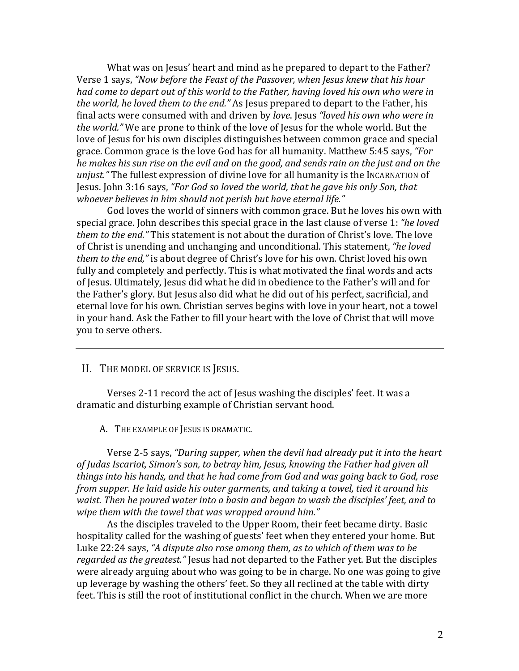What was on Jesus' heart and mind as he prepared to depart to the Father? Verse 1 says, "Now before the Feast of the Passover, when Jesus knew that his hour *had come to depart out of this world to the Father, having loved his own who were in the world, he loved them to the end."* As Jesus prepared to depart to the Father, his final acts were consumed with and driven by *love*. Jesus *"loved his own who were in the world."* We are prone to think of the love of Jesus for the whole world. But the love of Jesus for his own disciples distinguishes between common grace and special grace. Common grace is the love God has for all humanity. Matthew 5:45 says, "For *he makes his sun rise on the evil and on the good, and sends rain on the just and on the unjust.*" The fullest expression of divine love for all humanity is the INCARNATION of Jesus. John 3:16 says, "For God so loved the world, that he gave his only Son, that *whoever believes in him should not perish but have eternal life."* 

God loves the world of sinners with common grace. But he loves his own with special grace. John describes this special grace in the last clause of verse 1: *"he loved them to the end."* This statement is not about the duration of Christ's love. The love of Christ is unending and unchanging and unconditional. This statement, "he loved *them to the end,"* is about degree of Christ's love for his own. Christ loved his own fully and completely and perfectly. This is what motivated the final words and acts of Jesus. Ultimately, Jesus did what he did in obedience to the Father's will and for the Father's glory. But Jesus also did what he did out of his perfect, sacrificial, and eternal love for his own. Christian serves begins with love in your heart, not a towel in your hand. Ask the Father to fill your heart with the love of Christ that will move you to serve others.

II. THE MODEL OF SERVICE IS JESUS.

Verses 2-11 record the act of Jesus washing the disciples' feet. It was a dramatic and disturbing example of Christian servant hood.

A. THE EXAMPLE OF JESUS IS DRAMATIC.

Verse 2-5 says, "During supper, when the devil had already put it into the heart of Judas Iscariot, Simon's son, to betray him, Jesus, knowing the Father had given all *things into his hands, and that he had come from God and was going back to God, rose from supper. He laid aside his outer garments, and taking a towel, tied it around his waist.* Then he poured water into a basin and began to wash the disciples' feet, and to wipe them with the towel that was wrapped around him."

As the disciples traveled to the Upper Room, their feet became dirty. Basic hospitality called for the washing of guests' feet when they entered your home. But Luke 22:24 says, "A dispute also rose among them, as to which of them was to be *regarded as the greatest."* Jesus had not departed to the Father yet. But the disciples were already arguing about who was going to be in charge. No one was going to give up leverage by washing the others' feet. So they all reclined at the table with dirty feet. This is still the root of institutional conflict in the church. When we are more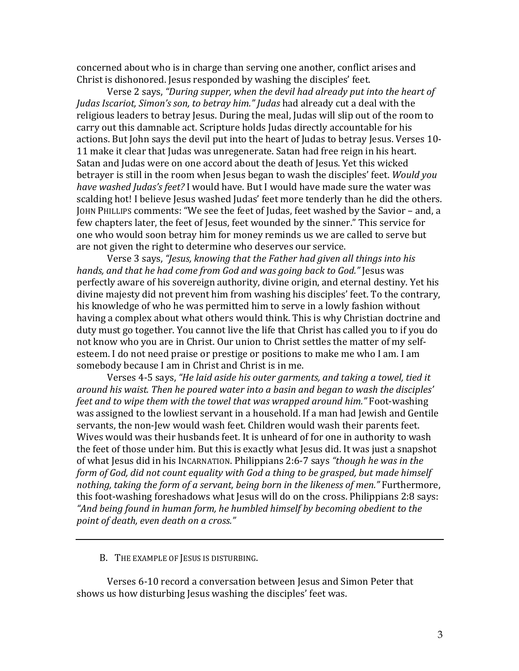concerned about who is in charge than serving one another, conflict arises and Christ is dishonored. Jesus responded by washing the disciples' feet.

Verse 2 says, "During supper, when the devil had already put into the heart of *Judas Iscariot, Simon's son, to betray him." Judas* had already cut a deal with the religious leaders to betray Jesus. During the meal, Judas will slip out of the room to carry out this damnable act. Scripture holds Judas directly accountable for his actions. But John says the devil put into the heart of Judas to betray Jesus. Verses 10-11 make it clear that Judas was unregenerate. Satan had free reign in his heart. Satan and Judas were on one accord about the death of Jesus. Yet this wicked betrayer is still in the room when Jesus began to wash the disciples' feet. *Would you have washed Judas's feet?* I would have. But I would have made sure the water was scalding hot! I believe Jesus washed Judas' feet more tenderly than he did the others. JOHN PHILLIPS comments: "We see the feet of Judas, feet washed by the Savior - and, a few chapters later, the feet of Jesus, feet wounded by the sinner." This service for one who would soon betray him for money reminds us we are called to serve but are not given the right to determine who deserves our service.

Verse 3 says, "Jesus, knowing that the Father had given all things into his *hands, and that he had come from God and was going back to God."* Jesus was perfectly aware of his sovereign authority, divine origin, and eternal destiny. Yet his divine majesty did not prevent him from washing his disciples' feet. To the contrary, his knowledge of who he was permitted him to serve in a lowly fashion without having a complex about what others would think. This is why Christian doctrine and duty must go together. You cannot live the life that Christ has called you to if you do not know who you are in Christ. Our union to Christ settles the matter of my selfesteem. I do not need praise or prestige or positions to make me who I am. I am somebody because I am in Christ and Christ is in me.

Verses 4-5 says, "He laid aside his outer garments, and taking a towel, tied it around his waist. Then he poured water into a basin and began to wash the disciples' *feet and to wipe them with the towel that was wrapped around him.*" Foot-washing was assigned to the lowliest servant in a household. If a man had Jewish and Gentile servants, the non-Jew would wash feet. Children would wash their parents feet. Wives would was their husbands feet. It is unheard of for one in authority to wash the feet of those under him. But this is exactly what Jesus did. It was just a snapshot of what Jesus did in his INCARNATION. Philippians 2:6-7 says "though he was in the *form of God, did not count equality with God a thing to be grasped, but made himself nothing, taking the form of a servant, being born in the likeness of men."* Furthermore, this foot-washing foreshadows what Jesus will do on the cross. Philippians 2:8 says: "And being found in human form, he humbled himself by becoming obedient to the *point of death, even death on a cross."*

B. THE EXAMPLE OF JESUS IS DISTURBING.

Verses 6-10 record a conversation between Jesus and Simon Peter that shows us how disturbing Jesus washing the disciples' feet was.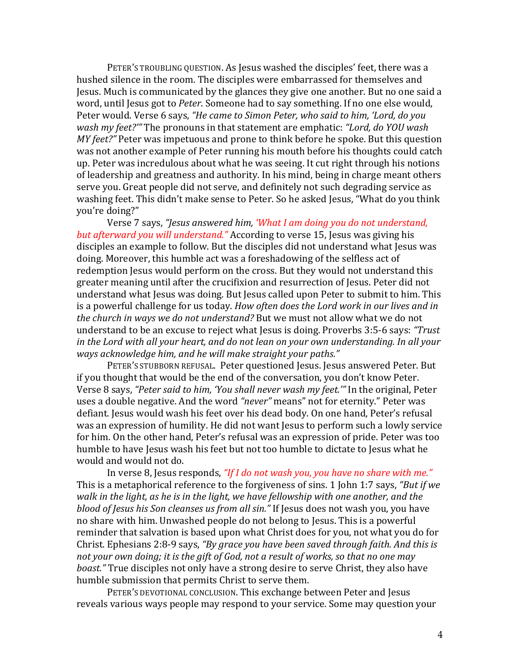PETER'S TROUBLING QUESTION. As Jesus washed the disciples' feet, there was a hushed silence in the room. The disciples were embarrassed for themselves and Jesus. Much is communicated by the glances they give one another. But no one said a word, until Jesus got to *Peter*. Someone had to say something. If no one else would, Peter would. Verse 6 says, "He came to Simon Peter, who said to him, 'Lord, do you *wash my feet?"* The pronouns in that statement are emphatic: "Lord, do YOU wash *MY* feet?" Peter was impetuous and prone to think before he spoke. But this question was not another example of Peter running his mouth before his thoughts could catch up. Peter was incredulous about what he was seeing. It cut right through his notions of leadership and greatness and authority. In his mind, being in charge meant others serve you. Great people did not serve, and definitely not such degrading service as washing feet. This didn't make sense to Peter. So he asked Jesus, "What do you think vou're doing?"

Verse 7 says, "Jesus answered him, 'What I am doing you do not understand, *but afterward you will understand."* According to verse 15, Jesus was giving his disciples an example to follow. But the disciples did not understand what Jesus was doing. Moreover, this humble act was a foreshadowing of the selfless act of redemption Jesus would perform on the cross. But they would not understand this greater meaning until after the crucifixion and resurrection of Jesus. Peter did not understand what Jesus was doing. But Jesus called upon Peter to submit to him. This is a powerful challenge for us today. *How often does the Lord work in our lives and in the church in ways we do not understand?* But we must not allow what we do not understand to be an excuse to reject what Jesus is doing. Proverbs 3:5-6 says: "Trust *in the Lord with all your heart, and do not lean on your own understanding. In all your ways acknowledge him, and he will make straight your paths."* 

PETER'S STUBBORN REFUSAL. Peter questioned Jesus. Jesus answered Peter. But if you thought that would be the end of the conversation, you don't know Peter. Verse 8 says, "Peter said to him, 'You shall never wash my feet.'" In the original, Peter uses a double negative. And the word "never" means" not for eternity." Peter was defiant. Jesus would wash his feet over his dead body. On one hand, Peter's refusal was an expression of humility. He did not want Jesus to perform such a lowly service for him. On the other hand, Peter's refusal was an expression of pride. Peter was too humble to have Jesus wash his feet but not too humble to dictate to Jesus what he would and would not do.

In verse 8, Jesus responds, "If I do not wash you, you have no share with me." This is a metaphorical reference to the forgiveness of sins. 1 John 1:7 says, "But if we *walk* in the light, as he is in the light, we have fellowship with one another, and the *blood of Jesus his Son cleanses us from all sin."* If Jesus does not wash you, you have no share with him. Unwashed people do not belong to Jesus. This is a powerful reminder that salvation is based upon what Christ does for you, not what you do for Christ. Ephesians 2:8-9 says, "By grace you have been saved through faith. And this is not your own doing; it is the gift of God, not a result of works, so that no one may *boast.*" True disciples not only have a strong desire to serve Christ, they also have humble submission that permits Christ to serve them.

PETER'S DEVOTIONAL CONCLUSION. This exchange between Peter and Jesus reveals various ways people may respond to your service. Some may question your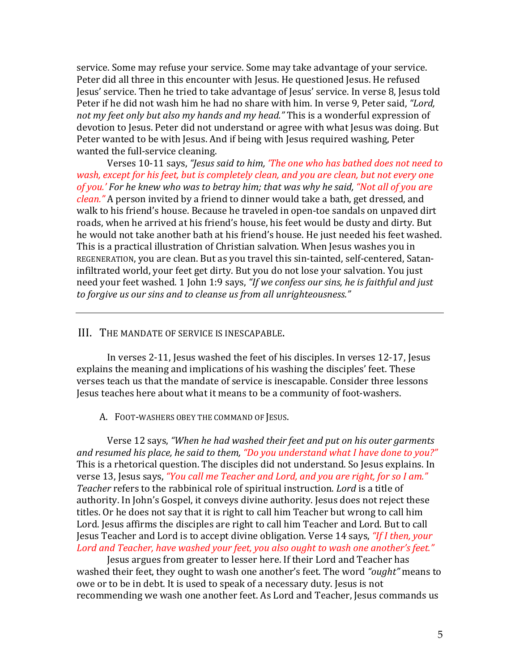service. Some may refuse your service. Some may take advantage of your service. Peter did all three in this encounter with Jesus. He questioned Jesus. He refused Jesus' service. Then he tried to take advantage of Jesus' service. In verse 8, Jesus told Peter if he did not wash him he had no share with him. In verse 9, Peter said, "Lord, not my feet only but also my hands and my head." This is a wonderful expression of devotion to Jesus. Peter did not understand or agree with what Jesus was doing. But Peter wanted to be with Jesus. And if being with Jesus required washing, Peter wanted the full-service cleaning.

Verses 10-11 says, "Jesus said to him, 'The one who has bathed does not need to *wash, except for his feet, but is completely clean, and you are clean, but not every one* of you.' For he knew who was to betray him; that was why he said, "Not all of you are *clean.*" A person invited by a friend to dinner would take a bath, get dressed, and walk to his friend's house. Because he traveled in open-toe sandals on unpaved dirt roads, when he arrived at his friend's house, his feet would be dusty and dirty. But he would not take another bath at his friend's house. He just needed his feet washed. This is a practical illustration of Christian salvation. When Jesus washes you in REGENERATION, you are clean. But as you travel this sin-tainted, self-centered, Sataninfiltrated world, your feet get dirty. But you do not lose your salvation. You just need your feet washed. 1 John 1:9 says, *"If we confess our sins, he is faithful and just* to forgive us our sins and to cleanse us from all unrighteousness."

## III. THE MANDATE OF SERVICE IS INESCAPABLE.

In verses 2-11, Jesus washed the feet of his disciples. In verses 12-17, Jesus explains the meaning and implications of his washing the disciples' feet. These verses teach us that the mandate of service is inescapable. Consider three lessons Jesus teaches here about what it means to be a community of foot-washers.

A. FOOT-WASHERS OBEY THE COMMAND OF JESUS.

Verse 12 says, "When he had washed their feet and put on his outer garments and resumed his place, he said to them, "Do you understand what I have done to you?" This is a rhetorical question. The disciples did not understand. So Jesus explains. In verse 13, Jesus says, "You call me Teacher and Lord, and you are right, for so I am." *Teacher* refers to the rabbinical role of spiritual instruction. *Lord* is a title of authority. In John's Gospel, it conveys divine authority. Jesus does not reject these titles. Or he does not say that it is right to call him Teacher but wrong to call him Lord. Jesus affirms the disciples are right to call him Teacher and Lord. But to call Jesus Teacher and Lord is to accept divine obligation. Verse 14 says, "If I then, your Lord and Teacher, have washed your feet, you also ought to wash one another's feet."

Jesus argues from greater to lesser here. If their Lord and Teacher has washed their feet, they ought to wash one another's feet. The word "*ought*" means to owe or to be in debt. It is used to speak of a necessary duty. Jesus is not recommending we wash one another feet. As Lord and Teacher, Jesus commands us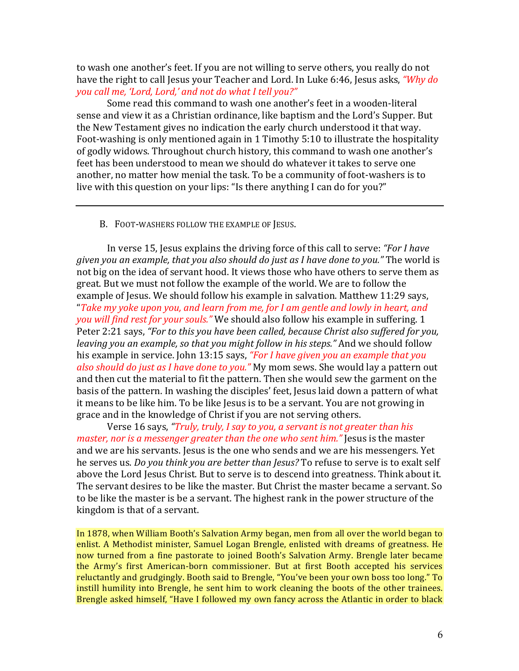to wash one another's feet. If you are not willing to serve others, you really do not have the right to call Jesus your Teacher and Lord. In Luke 6:46, Jesus asks, *"Why do* you call me, 'Lord, Lord,' and not do what I tell you?"

Some read this command to wash one another's feet in a wooden-literal sense and view it as a Christian ordinance, like baptism and the Lord's Supper. But the New Testament gives no indication the early church understood it that way. Foot-washing is only mentioned again in 1 Timothy 5:10 to illustrate the hospitality of godly widows. Throughout church history, this command to wash one another's feet has been understood to mean we should do whatever it takes to serve one another, no matter how menial the task. To be a community of foot-washers is to live with this question on your lips: "Is there anything I can do for you?"

## B. FOOT-WASHERS FOLLOW THE EXAMPLE OF JESUS.

In verse 15, Jesus explains the driving force of this call to serve: *"For I have given you an example, that you also should do just as I have done to you."* The world is not big on the idea of servant hood. It views those who have others to serve them as great. But we must not follow the example of the world. We are to follow the example of Jesus. We should follow his example in salvation. Matthew 11:29 says, "Take my yoke upon you, and learn from me, for I am gentle and lowly in heart, and *you will find rest for your souls.*" We should also follow his example in suffering. 1 Peter 2:21 says, "For to this you have been called, because Christ also suffered for you, *leaving you an example, so that you might follow in his steps.*" And we should follow his example in service. John 13:15 says, *"For I have given you an example that you also should do just as I have done to you.*" My mom sews. She would lay a pattern out and then cut the material to fit the pattern. Then she would sew the garment on the basis of the pattern. In washing the disciples' feet, Jesus laid down a pattern of what it means to be like him. To be like Jesus is to be a servant. You are not growing in grace and in the knowledge of Christ if you are not serving others.

Verse 16 says, "Truly, truly, I say to you, a servant is not greater than his *master, nor is a messenger greater than the one who sent him."* Jesus is the master and we are his servants. Jesus is the one who sends and we are his messengers. Yet he serves us. *Do you think you are better than Jesus?* To refuse to serve is to exalt self above the Lord Jesus Christ. But to serve is to descend into greatness. Think about it. The servant desires to be like the master. But Christ the master became a servant. So to be like the master is be a servant. The highest rank in the power structure of the kingdom is that of a servant.

In 1878, when William Booth's Salvation Army began, men from all over the world began to enlist. A Methodist minister, Samuel Logan Brengle, enlisted with dreams of greatness. He now turned from a fine pastorate to joined Booth's Salvation Army. Brengle later became the Army's first American-born commissioner. But at first Booth accepted his services reluctantly and grudgingly. Booth said to Brengle, "You've been your own boss too long." To instill humility into Brengle, he sent him to work cleaning the boots of the other trainees. Brengle asked himself, "Have I followed my own fancy across the Atlantic in order to black